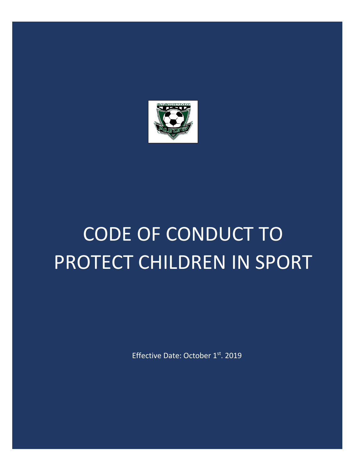

# CODE OF CONDUCT TO PROTECT CHILDREN IN SPORT

Effective Date: October 1st. 2019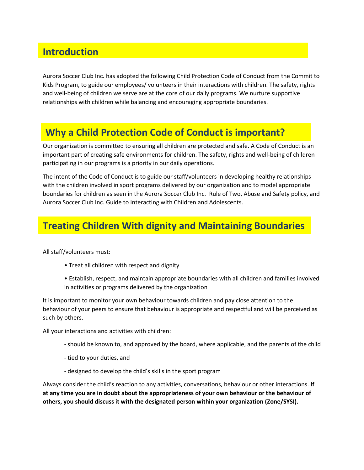### **Introduction**

Aurora Soccer Club Inc. has adopted the following Child Protection Code of Conduct from the Commit to Kids Program, to guide our employees/ volunteers in their interactions with children. The safety, rights and well-being of children we serve are at the core of our daily programs. We nurture supportive relationships with children while balancing and encouraging appropriate boundaries.

#### **Why a Child Protection Code of Conduct is important?**

Our organization is committed to ensuring all children are protected and safe. A Code of Conduct is an important part of creating safe environments for children. The safety, rights and well-being of children participating in our programs is a priority in our daily operations.

The intent of the Code of Conduct is to guide our staff/volunteers in developing healthy relationships with the children involved in sport programs delivered by our organization and to model appropriate boundaries for children as seen in the Aurora Soccer Club Inc. Rule of Two, Abuse and Safety policy, and Aurora Soccer Club Inc. Guide to Interacting with Children and Adolescents.

## **Treating Children With dignity and Maintaining Boundaries**

All staff/volunteers must:

- Treat all children with respect and dignity
- Establish, respect, and maintain appropriate boundaries with all children and families involved in activities or programs delivered by the organization

It is important to monitor your own behaviour towards children and pay close attention to the behaviour of your peers to ensure that behaviour is appropriate and respectful and will be perceived as such by others.

All your interactions and activities with children:

- should be known to, and approved by the board, where applicable, and the parents of the child
- tied to your duties, and
- designed to develop the child's skills in the sport program

Always consider the child's reaction to any activities, conversations, behaviour or other interactions. **If at any time you are in doubt about the appropriateness of your own behaviour or the behaviour of others, you should discuss it with the designated person within your organization (Zone/SYSI).**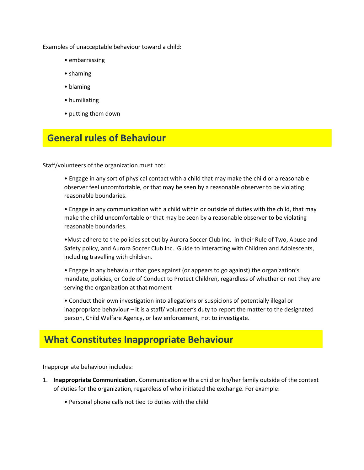Examples of unacceptable behaviour toward a child:

- embarrassing
- shaming
- blaming
- humiliating
- putting them down

#### **General rules of Behaviour**

Staff/volunteers of the organization must not:

• Engage in any sort of physical contact with a child that may make the child or a reasonable observer feel uncomfortable, or that may be seen by a reasonable observer to be violating reasonable boundaries.

• Engage in any communication with a child within or outside of duties with the child, that may make the child uncomfortable or that may be seen by a reasonable observer to be violating reasonable boundaries.

•Must adhere to the policies set out by Aurora Soccer Club Inc. in their Rule of Two, Abuse and Safety policy, and Aurora Soccer Club Inc. Guide to Interacting with Children and Adolescents, including travelling with children.

• Engage in any behaviour that goes against (or appears to go against) the organization's mandate, policies, or Code of Conduct to Protect Children, regardless of whether or not they are serving the organization at that moment

• Conduct their own investigation into allegations or suspicions of potentially illegal or inappropriate behaviour – it is a staff/ volunteer's duty to report the matter to the designated person, Child Welfare Agency, or law enforcement, not to investigate.

#### **What Constitutes Inappropriate Behaviour**

Inappropriate behaviour includes:

- 1. **Inappropriate Communication.** Communication with a child or his/her family outside of the context of duties for the organization, regardless of who initiated the exchange. For example:
	- Personal phone calls not tied to duties with the child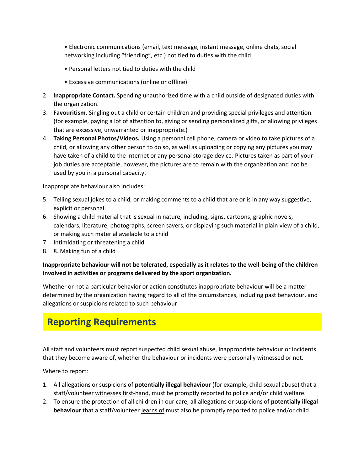• Electronic communications (email, text message, instant message, online chats, social networking including "friending", etc.) not tied to duties with the child

- Personal letters not tied to duties with the child
- Excessive communications (online or offline)
- 2. **Inappropriate Contact.** Spending unauthorized time with a child outside of designated duties with the organization.
- 3. **Favouritism.** Singling out a child or certain children and providing special privileges and attention. (for example, paying a lot of attention to, giving or sending personalized gifts, or allowing privileges that are excessive, unwarranted or inappropriate.)
- 4. **Taking Personal Photos/Videos.** Using a personal cell phone, camera or video to take pictures of a child, or allowing any other person to do so, as well as uploading or copying any pictures you may have taken of a child to the Internet or any personal storage device. Pictures taken as part of your job duties are acceptable, however, the pictures are to remain with the organization and not be used by you in a personal capacity.

Inappropriate behaviour also includes:

- 5. Telling sexual jokes to a child, or making comments to a child that are or is in any way suggestive, explicit or personal.
- 6. Showing a child material that is sexual in nature, including, signs, cartoons, graphic novels, calendars, literature, photographs, screen savers, or displaying such material in plain view of a child, or making such material available to a child
- 7. Intimidating or threatening a child
- 8. 8. Making fun of a child

#### **Inappropriate behaviour will not be tolerated, especially as it relates to the well-being of the children involved in activities or programs delivered by the sport organization.**

Whether or not a particular behavior or action constitutes inappropriate behaviour will be a matter determined by the organization having regard to all of the circumstances, including past behaviour, and allegations or suspicions related to such behaviour.

#### **Reporting Requirements**

All staff and volunteers must report suspected child sexual abuse, inappropriate behaviour or incidents that they become aware of, whether the behaviour or incidents were personally witnessed or not.

Where to report:

- 1. All allegations or suspicions of **potentially illegal behaviour** (for example, child sexual abuse) that a staff/volunteer witnesses first-hand, must be promptly reported to police and/or child welfare.
- 2. To ensure the protection of all children in our care, all allegations or suspicions of **potentially illegal behaviour** that a staff/volunteer learns of must also be promptly reported to police and/or child